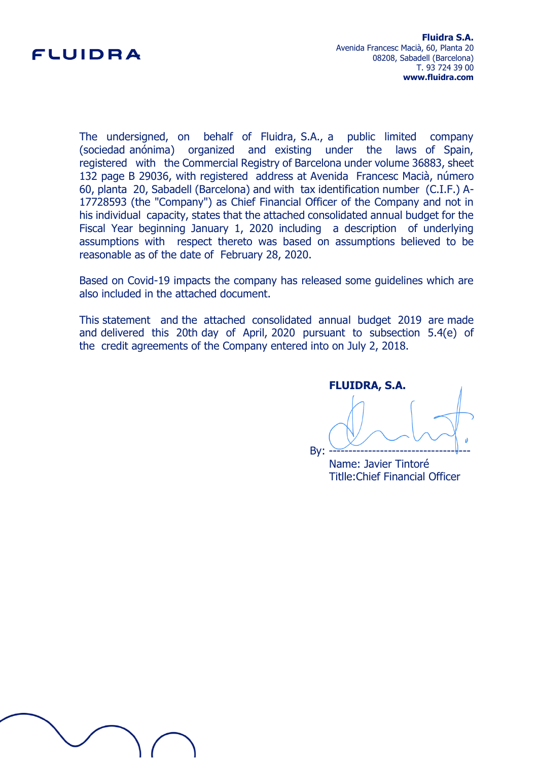

The undersigned, on behalf of Fluidra, S.A., a public limited company (sociedad anónima) organized and existing under the laws of Spain, registered with the Commercial Registry of Barcelona under volume 36883, sheet 132 page B 29036, with registered address at Avenida Francesc Macià, número 60, planta 20, Sabadell (Barcelona) and with tax identification number (C.I.F.) A-17728593 (the "Company") as Chief Financial Officer of the Company and not in his individual capacity, states that the attached consolidated annual budget for the Fiscal Year beginning January 1, 2020 including a description of underlying assumptions with respect thereto was based on assumptions believed to be reasonable as of the date of February 28, 2020.

Based on Covid-19 impacts the company has released some guidelines which are also included in the attached document.

This statement and the attached consolidated annual budget 2019 are made and delivered this 20th day of April, 2020 pursuant to subsection 5.4(e) of the credit agreements of the Company entered into on July 2, 2018.

**FLUIDRA, S.A.** By: ------------------------------------

Name: Javier Tintoré Titlle:Chief Financial Officer

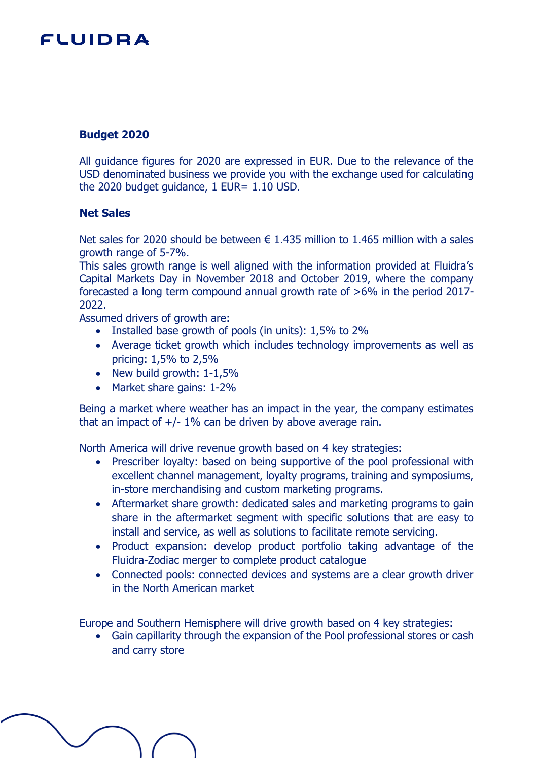### **Budget 2020**

All guidance figures for 2020 are expressed in EUR. Due to the relevance of the USD denominated business we provide you with the exchange used for calculating the 2020 budget guidance, 1 EUR= 1.10 USD.

#### **Net Sales**

Net sales for 2020 should be between  $\epsilon$  1.435 million to 1.465 million with a sales growth range of 5-7%.

This sales growth range is well aligned with the information provided at Fluidra's Capital Markets Day in November 2018 and October 2019, where the company forecasted a long term compound annual growth rate of >6% in the period 2017- 2022.

Assumed drivers of growth are:

- Installed base growth of pools (in units): 1,5% to 2%
- Average ticket growth which includes technology improvements as well as pricing: 1,5% to 2,5%
- New build growth:  $1-1,5%$
- Market share gains: 1-2%

Being a market where weather has an impact in the year, the company estimates that an impact of  $+/- 1\%$  can be driven by above average rain.

North America will drive revenue growth based on 4 key strategies:

- Prescriber loyalty: based on being supportive of the pool professional with excellent channel management, loyalty programs, training and symposiums, in-store merchandising and custom marketing programs.
- Aftermarket share growth: dedicated sales and marketing programs to gain share in the aftermarket segment with specific solutions that are easy to install and service, as well as solutions to facilitate remote servicing.
- Product expansion: develop product portfolio taking advantage of the Fluidra-Zodiac merger to complete product catalogue
- Connected pools: connected devices and systems are a clear growth driver in the North American market

Europe and Southern Hemisphere will drive growth based on 4 key strategies:

 Gain capillarity through the expansion of the Pool professional stores or cash and carry store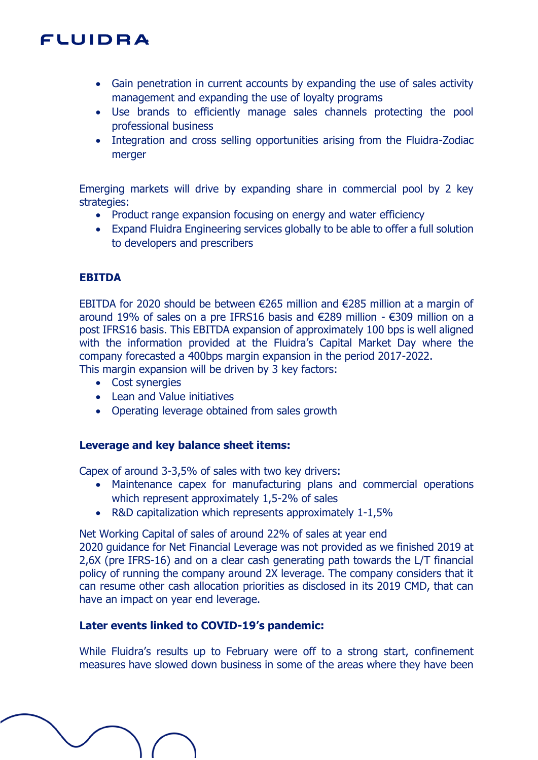- Gain penetration in current accounts by expanding the use of sales activity management and expanding the use of loyalty programs
- Use brands to efficiently manage sales channels protecting the pool professional business
- Integration and cross selling opportunities arising from the Fluidra-Zodiac merger

Emerging markets will drive by expanding share in commercial pool by 2 key strategies:

- Product range expansion focusing on energy and water efficiency
- Expand Fluidra Engineering services globally to be able to offer a full solution to developers and prescribers

### **EBITDA**

EBITDA for 2020 should be between €265 million and €285 million at a margin of around 19% of sales on a pre IFRS16 basis and €289 million - €309 million on a post IFRS16 basis. This EBITDA expansion of approximately 100 bps is well aligned with the information provided at the Fluidra's Capital Market Day where the company forecasted a 400bps margin expansion in the period 2017-2022. This margin expansion will be driven by 3 key factors:

- Cost synergies
- Lean and Value initiatives
- Operating leverage obtained from sales growth

#### **Leverage and key balance sheet items:**

Capex of around 3-3,5% of sales with two key drivers:

- Maintenance capex for manufacturing plans and commercial operations which represent approximately 1,5-2% of sales
- R&D capitalization which represents approximately 1-1,5%

Net Working Capital of sales of around 22% of sales at year end

2020 guidance for Net Financial Leverage was not provided as we finished 2019 at 2,6X (pre IFRS-16) and on a clear cash generating path towards the L/T financial policy of running the company around 2X leverage. The company considers that it can resume other cash allocation priorities as disclosed in its 2019 CMD, that can have an impact on year end leverage.

### **Later events linked to COVID-19's pandemic:**

While Fluidra's results up to February were off to a strong start, confinement measures have slowed down business in some of the areas where they have been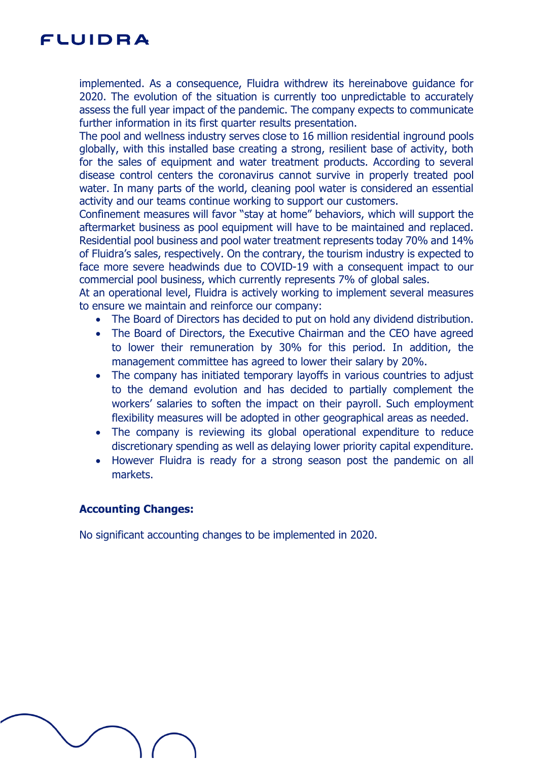implemented. As a consequence, Fluidra withdrew its hereinabove guidance for 2020. The evolution of the situation is currently too unpredictable to accurately assess the full year impact of the pandemic. The company expects to communicate further information in its first quarter results presentation.

The pool and wellness industry serves close to 16 million residential inground pools globally, with this installed base creating a strong, resilient base of activity, both for the sales of equipment and water treatment products. According to several disease control centers the coronavirus cannot survive in properly treated pool water. In many parts of the world, cleaning pool water is considered an essential activity and our teams continue working to support our customers.

Confinement measures will favor "stay at home" behaviors, which will support the aftermarket business as pool equipment will have to be maintained and replaced. Residential pool business and pool water treatment represents today 70% and 14% of Fluidra's sales, respectively. On the contrary, the tourism industry is expected to face more severe headwinds due to COVID-19 with a consequent impact to our commercial pool business, which currently represents 7% of global sales.

At an operational level, Fluidra is actively working to implement several measures to ensure we maintain and reinforce our company:

- The Board of Directors has decided to put on hold any dividend distribution.
- The Board of Directors, the Executive Chairman and the CEO have agreed to lower their remuneration by 30% for this period. In addition, the management committee has agreed to lower their salary by 20%.
- The company has initiated temporary layoffs in various countries to adjust to the demand evolution and has decided to partially complement the workers' salaries to soften the impact on their payroll. Such employment flexibility measures will be adopted in other geographical areas as needed.
- The company is reviewing its global operational expenditure to reduce discretionary spending as well as delaying lower priority capital expenditure.
- However Fluidra is ready for a strong season post the pandemic on all markets.

### **Accounting Changes:**

No significant accounting changes to be implemented in 2020.